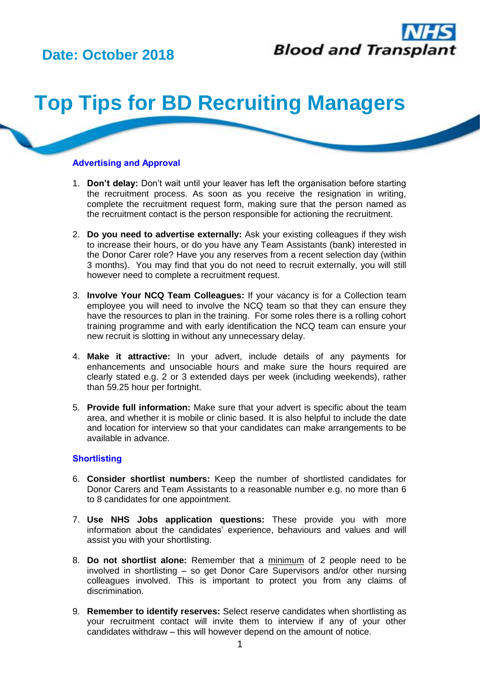# **Date: October 2018**



# **Top Tips for BD Recruiting Managers**

### **Advertising and Approval**

- 1. **Don't delay:** Don't wait until your leaver has left the organisation before starting the recruitment process. As soon as you receive the resignation in writing, complete the recruitment request form, making sure that the person named as the recruitment contact is the person responsible for actioning the recruitment.
- 2. **Do you need to advertise externally:** Ask your existing colleagues if they wish to increase their hours, or do you have any Team Assistants (bank) interested in the Donor Carer role? Have you any reserves from a recent selection day (within 3 months). You may find that you do not need to recruit externally, you will still however need to complete a recruitment request.
- 3. **Involve Your NCQ Team Colleagues:** If your vacancy is for a Collection team employee you will need to involve the NCQ team so that they can ensure they have the resources to plan in the training. For some roles there is a rolling cohort training programme and with early identification the NCQ team can ensure your new recruit is slotting in without any unnecessary delay.
- 4. **Make it attractive:** In your advert, include details of any payments for enhancements and unsociable hours and make sure the hours required are clearly stated e.g. 2 or 3 extended days per week (including weekends), rather than 59.25 hour per fortnight.
- 5. **Provide full information:** Make sure that your advert is specific about the team area, and whether it is mobile or clinic based. It is also helpful to include the date and location for interview so that your candidates can make arrangements to be available in advance.

#### **Shortlisting**

- 6. **Consider shortlist numbers:** Keep the number of shortlisted candidates for Donor Carers and Team Assistants to a reasonable number e.g. no more than 6 to 8 candidates for one appointment.
- 7. **Use NHS Jobs application questions:** These provide you with more information about the candidates' experience, behaviours and values and will assist you with your shortlisting.
- 8. **Do not shortlist alone:** Remember that a minimum of 2 people need to be involved in shortlisting – so get Donor Care Supervisors and/or other nursing colleagues involved. This is important to protect you from any claims of discrimination.
- 9. **Remember to identify reserves:** Select reserve candidates when shortlisting as your recruitment contact will invite them to interview if any of your other candidates withdraw – this will however depend on the amount of notice.